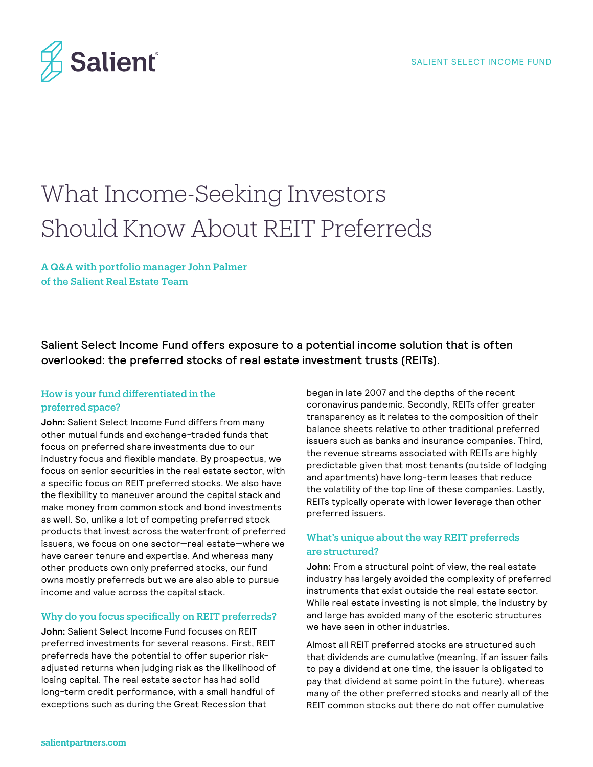

# What Income-Seeking Investors Should Know About REIT Preferreds

A Q&A with portfolio manager John Palmer of the Salient Real Estate Team

Salient Select Income Fund offers exposure to a potential income solution that is often overlooked: the preferred stocks of real estate investment trusts (REITs).

# How is your fund differentiated in the preferred space?

**John:** Salient Select Income Fund differs from many other mutual funds and exchange-traded funds that focus on preferred share investments due to our industry focus and flexible mandate. By prospectus, we focus on senior securities in the real estate sector, with a specific focus on REIT preferred stocks. We also have the flexibility to maneuver around the capital stack and make money from common stock and bond investments as well. So, unlike a lot of competing preferred stock products that invest across the waterfront of preferred issuers, we focus on one sector—real estate—where we have career tenure and expertise. And whereas many other products own only preferred stocks, our fund owns mostly preferreds but we are also able to pursue income and value across the capital stack.

#### Why do you focus specifically on REIT preferreds?

**John:** Salient Select Income Fund focuses on REIT preferred investments for several reasons. First, REIT preferreds have the potential to offer superior riskadjusted returns when judging risk as the likelihood of losing capital. The real estate sector has had solid long-term credit performance, with a small handful of exceptions such as during the Great Recession that

began in late 2007 and the depths of the recent coronavirus pandemic. Secondly, REITs offer greater transparency as it relates to the composition of their balance sheets relative to other traditional preferred issuers such as banks and insurance companies. Third, the revenue streams associated with REITs are highly predictable given that most tenants (outside of lodging and apartments) have long-term leases that reduce the volatility of the top line of these companies. Lastly, REITs typically operate with lower leverage than other preferred issuers.

# What's unique about the way REIT preferreds are structured?

**John:** From a structural point of view, the real estate industry has largely avoided the complexity of preferred instruments that exist outside the real estate sector. While real estate investing is not simple, the industry by and large has avoided many of the esoteric structures we have seen in other industries.

Almost all REIT preferred stocks are structured such that dividends are cumulative (meaning, if an issuer fails to pay a dividend at one time, the issuer is obligated to pay that dividend at some point in the future), whereas many of the other preferred stocks and nearly all of the REIT common stocks out there do not offer cumulative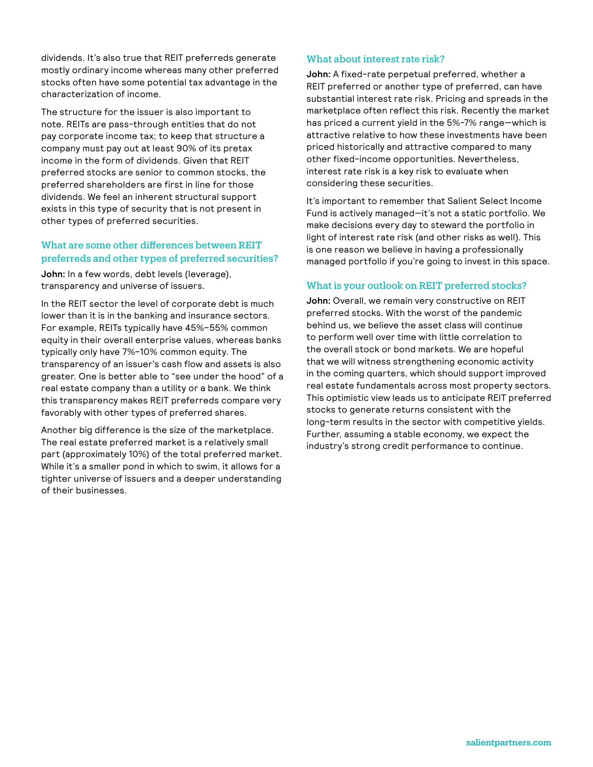dividends. It's also true that REIT preferreds generate mostly ordinary income whereas many other preferred stocks often have some potential tax advantage in the characterization of income.

The structure for the issuer is also important to note. REITs are pass-through entities that do not pay corporate income tax; to keep that structure a company must pay out at least 90% of its pretax income in the form of dividends. Given that REIT preferred stocks are senior to common stocks, the preferred shareholders are first in line for those dividends. We feel an inherent structural support exists in this type of security that is not present in other types of preferred securities.

# What are some other differences between REIT preferreds and other types of preferred securities?

**John:** In a few words, debt levels (leverage), transparency and universe of issuers.

In the REIT sector the level of corporate debt is much lower than it is in the banking and insurance sectors. For example, REITs typically have 45%–55% common equity in their overall enterprise values, whereas banks typically only have 7%–10% common equity. The transparency of an issuer's cash flow and assets is also greater. One is better able to "see under the hood" of a real estate company than a utility or a bank. We think this transparency makes REIT preferreds compare very favorably with other types of preferred shares.

Another big difference is the size of the marketplace. The real estate preferred market is a relatively small part (approximately 10%) of the total preferred market. While it's a smaller pond in which to swim, it allows for a tighter universe of issuers and a deeper understanding of their businesses.

## What about interest rate risk?

**John:** A fixed-rate perpetual preferred, whether a REIT preferred or another type of preferred, can have substantial interest rate risk. Pricing and spreads in the marketplace often reflect this risk. Recently the market has priced a current yield in the 5%-7% range—which is attractive relative to how these investments have been priced historically and attractive compared to many other fixed-income opportunities. Nevertheless, interest rate risk is a key risk to evaluate when considering these securities.

It's important to remember that Salient Select Income Fund is actively managed—it's not a static portfolio. We make decisions every day to steward the portfolio in light of interest rate risk (and other risks as well). This is one reason we believe in having a professionally managed portfolio if you're going to invest in this space.

## What is your outlook on REIT preferred stocks?

**John:** Overall, we remain very constructive on REIT preferred stocks. With the worst of the pandemic behind us, we believe the asset class will continue to perform well over time with little correlation to the overall stock or bond markets. We are hopeful that we will witness strengthening economic activity in the coming quarters, which should support improved real estate fundamentals across most property sectors. This optimistic view leads us to anticipate REIT preferred stocks to generate returns consistent with the long-term results in the sector with competitive yields. Further, assuming a stable economy, we expect the industry's strong credit performance to continue.